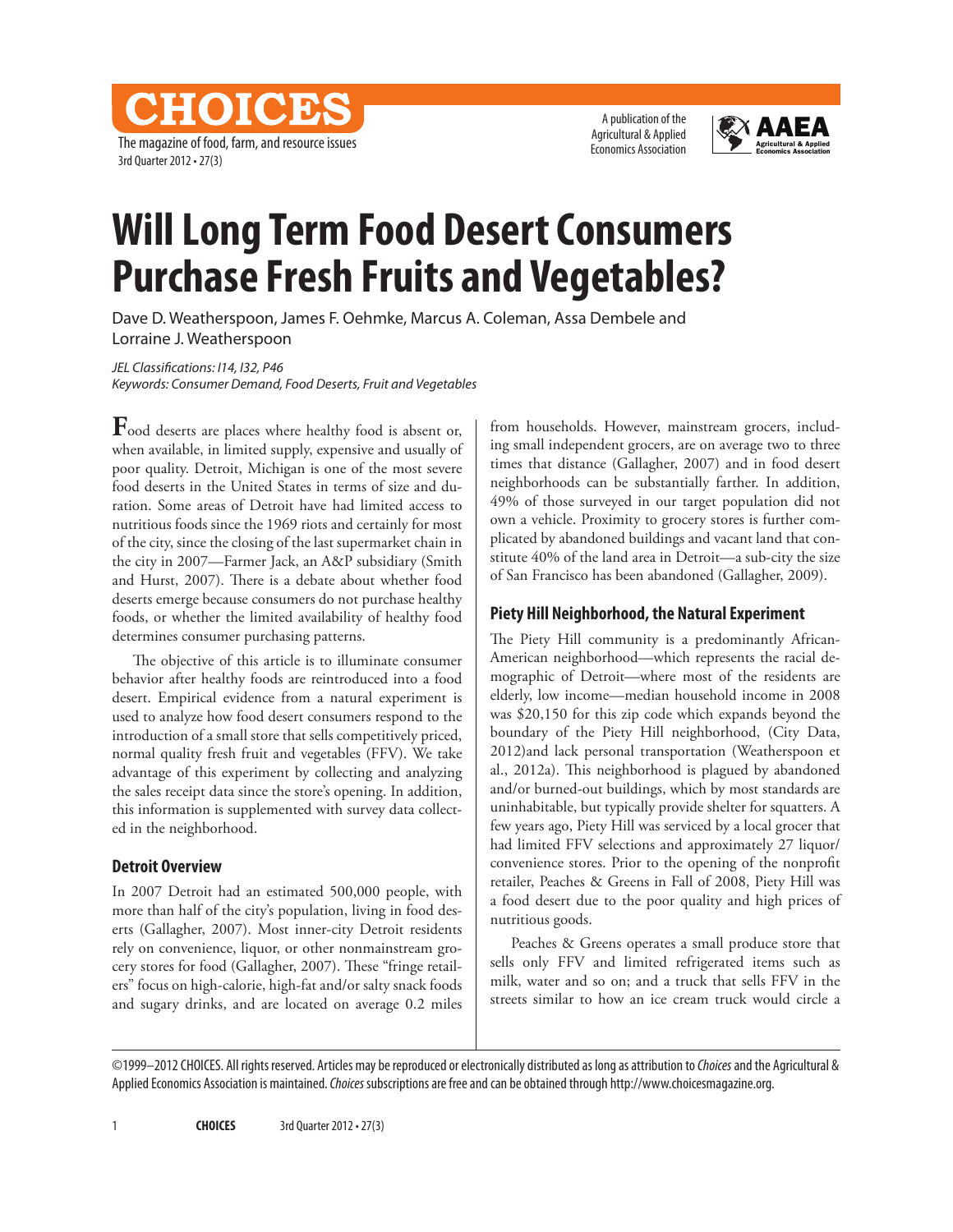A publication of the Agricultural & Applied Economics Association



# **Will Long Term Food Desert Consumers Purchase Fresh Fruits and Vegetables?**

Dave D. Weatherspoon, James F. Oehmke, Marcus A. Coleman, Assa Dembele and Lorraine J. Weatherspoon

*JEL Classifications: I14, I32, P46 Keywords: Consumer Demand, Food Deserts, Fruit and Vegetables*

The magazine of food, farm, and resource issues

CHOICES

3rd Quarter 2012 • 27(3)

**F**ood deserts are places where healthy food is absent or, when available, in limited supply, expensive and usually of poor quality. Detroit, Michigan is one of the most severe food deserts in the United States in terms of size and duration. Some areas of Detroit have had limited access to nutritious foods since the 1969 riots and certainly for most of the city, since the closing of the last supermarket chain in the city in 2007—Farmer Jack, an A&P subsidiary (Smith and Hurst, 2007). There is a debate about whether food deserts emerge because consumers do not purchase healthy foods, or whether the limited availability of healthy food determines consumer purchasing patterns.

The objective of this article is to illuminate consumer behavior after healthy foods are reintroduced into a food desert. Empirical evidence from a natural experiment is used to analyze how food desert consumers respond to the introduction of a small store that sells competitively priced, normal quality fresh fruit and vegetables (FFV). We take advantage of this experiment by collecting and analyzing the sales receipt data since the store's opening. In addition, this information is supplemented with survey data collected in the neighborhood.

#### **Detroit Overview**

In 2007 Detroit had an estimated 500,000 people, with more than half of the city's population, living in food deserts (Gallagher, 2007). Most inner-city Detroit residents rely on convenience, liquor, or other nonmainstream grocery stores for food (Gallagher, 2007). These "fringe retailers" focus on high-calorie, high-fat and/or salty snack foods and sugary drinks, and are located on average 0.2 miles

from households. However, mainstream grocers, including small independent grocers, are on average two to three times that distance (Gallagher, 2007) and in food desert neighborhoods can be substantially farther. In addition, 49% of those surveyed in our target population did not own a vehicle. Proximity to grocery stores is further complicated by abandoned buildings and vacant land that constitute 40% of the land area in Detroit—a sub-city the size of San Francisco has been abandoned (Gallagher, 2009).

#### **Piety Hill Neighborhood, the Natural Experiment**

The Piety Hill community is a predominantly African-American neighborhood—which represents the racial demographic of Detroit—where most of the residents are elderly, low income—median household income in 2008 was \$20,150 for this zip code which expands beyond the boundary of the Piety Hill neighborhood, (City Data, 2012)and lack personal transportation (Weatherspoon et al., 2012a). This neighborhood is plagued by abandoned and/or burned-out buildings, which by most standards are uninhabitable, but typically provide shelter for squatters. A few years ago, Piety Hill was serviced by a local grocer that had limited FFV selections and approximately 27 liquor/ convenience stores. Prior to the opening of the nonprofit retailer, Peaches & Greens in Fall of 2008, Piety Hill was a food desert due to the poor quality and high prices of nutritious goods.

Peaches & Greens operates a small produce store that sells only FFV and limited refrigerated items such as milk, water and so on; and a truck that sells FFV in the streets similar to how an ice cream truck would circle a

©1999–2012 CHOICES. All rights reserved. Articles may be reproduced or electronically distributed as long as attribution to *Choices* and the Agricultural & Applied Economics Association is maintained. *Choices* subscriptions are free and can be obtained through http://www.choicesmagazine.org.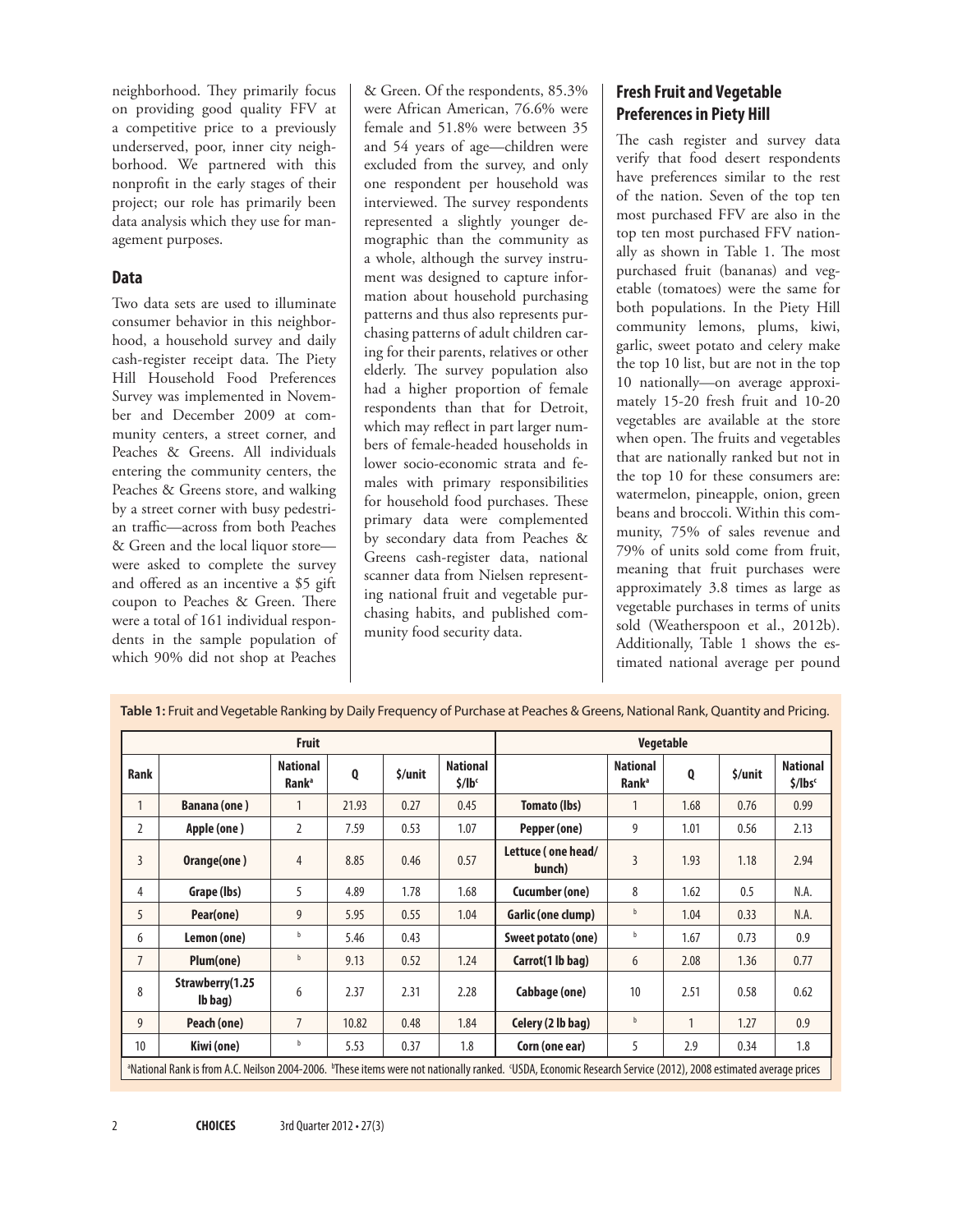neighborhood. They primarily focus on providing good quality FFV at a competitive price to a previously underserved, poor, inner city neighborhood. We partnered with this nonprofit in the early stages of their project; our role has primarily been data analysis which they use for management purposes.

#### **Data**

Two data sets are used to illuminate consumer behavior in this neighborhood, a household survey and daily cash-register receipt data. The Piety Hill Household Food Preferences Survey was implemented in November and December 2009 at community centers, a street corner, and Peaches & Greens. All individuals entering the community centers, the Peaches & Greens store, and walking by a street corner with busy pedestrian traffic—across from both Peaches & Green and the local liquor store were asked to complete the survey and offered as an incentive a \$5 gift coupon to Peaches & Green. There were a total of 161 individual respondents in the sample population of which 90% did not shop at Peaches

& Green. Of the respondents, 85.3% were African American, 76.6% were female and 51.8% were between 35 and 54 years of age—children were excluded from the survey, and only one respondent per household was interviewed. The survey respondents represented a slightly younger demographic than the community as a whole, although the survey instrument was designed to capture information about household purchasing patterns and thus also represents purchasing patterns of adult children caring for their parents, relatives or other elderly. The survey population also had a higher proportion of female respondents than that for Detroit, which may reflect in part larger numbers of female-headed households in lower socio-economic strata and females with primary responsibilities for household food purchases. These primary data were complemented by secondary data from Peaches & Greens cash-register data, national scanner data from Nielsen representing national fruit and vegetable purchasing habits, and published community food security data.

## **Fresh Fruit and Vegetable Preferences in Piety Hill**

The cash register and survey data verify that food desert respondents have preferences similar to the rest of the nation. Seven of the top ten most purchased FFV are also in the top ten most purchased FFV nationally as shown in Table 1. The most purchased fruit (bananas) and vegetable (tomatoes) were the same for both populations. In the Piety Hill community lemons, plums, kiwi, garlic, sweet potato and celery make the top 10 list, but are not in the top 10 nationally—on average approximately 15-20 fresh fruit and 10-20 vegetables are available at the store when open. The fruits and vegetables that are nationally ranked but not in the top 10 for these consumers are: watermelon, pineapple, onion, green beans and broccoli. Within this community, 75% of sales revenue and 79% of units sold come from fruit, meaning that fruit purchases were approximately 3.8 times as large as vegetable purchases in terms of units sold (Weatherspoon et al., 2012b). Additionally, Table 1 shows the estimated national average per pound

|                                                                                                                                                                                       | <b>Fruit</b>               |                                             |       |         |                                         | <b>Vegetable</b>             |                                             |              |         |                                        |
|---------------------------------------------------------------------------------------------------------------------------------------------------------------------------------------|----------------------------|---------------------------------------------|-------|---------|-----------------------------------------|------------------------------|---------------------------------------------|--------------|---------|----------------------------------------|
| <b>Rank</b>                                                                                                                                                                           |                            | <b>National</b><br><b>Rank</b> <sup>a</sup> | Q     | \$/unit | <b>National</b><br>$$/$ lb <sup>c</sup> |                              | <b>National</b><br><b>Rank</b> <sup>a</sup> | Q            | \$/unit | <b>National</b><br>\$/lbs <sub>c</sub> |
| 1                                                                                                                                                                                     | <b>Banana (one)</b>        |                                             | 21.93 | 0.27    | 0.45                                    | Tomato (lbs)                 |                                             | 1.68         | 0.76    | 0.99                                   |
| $\overline{2}$                                                                                                                                                                        | Apple (one)                | $\overline{2}$                              | 7.59  | 0.53    | 1.07                                    | Pepper (one)                 | 9                                           | 1.01         | 0.56    | 2.13                                   |
| 3                                                                                                                                                                                     | Orange(one)                | 4                                           | 8.85  | 0.46    | 0.57                                    | Lettuce (one head/<br>bunch) | 3                                           | 1.93         | 1.18    | 2.94                                   |
| 4                                                                                                                                                                                     | Grape (lbs)                | 5                                           | 4.89  | 1.78    | 1.68                                    | Cucumber (one)               | 8                                           | 1.62         | 0.5     | N.A.                                   |
| 5                                                                                                                                                                                     | Pear(one)                  | 9                                           | 5.95  | 0.55    | 1.04                                    | Garlic (one clump)           | b                                           | 1.04         | 0.33    | N.A.                                   |
| 6                                                                                                                                                                                     | Lemon (one)                | b                                           | 5.46  | 0.43    |                                         | Sweet potato (one)           | b                                           | 1.67         | 0.73    | 0.9                                    |
| $\overline{7}$                                                                                                                                                                        | Plum(one)                  | b                                           | 9.13  | 0.52    | 1.24                                    | Carrot(1 lb bag)             | 6                                           | 2.08         | 1.36    | 0.77                                   |
| 8                                                                                                                                                                                     | Strawberry(1.25<br>lb bag) | 6                                           | 2.37  | 2.31    | 2.28                                    | Cabbage (one)                | 10                                          | 2.51         | 0.58    | 0.62                                   |
| 9                                                                                                                                                                                     | Peach (one)                | $\overline{7}$                              | 10.82 | 0.48    | 1.84                                    | Celery (2 lb bag)            | b                                           | $\mathbf{1}$ | 1.27    | 0.9                                    |
| 10                                                                                                                                                                                    | Kiwi (one)                 | b                                           | 5.53  | 0.37    | 1.8                                     | Corn (one ear)               | 5                                           | 2.9          | 0.34    | 1.8                                    |
| <sup>a</sup> National Rank is from A.C. Neilson 2004-2006. <sup>b</sup> These items were not nationally ranked. USDA, Economic Research Service (2012), 2008 estimated average prices |                            |                                             |       |         |                                         |                              |                                             |              |         |                                        |

**Table 1:** Fruit and Vegetable Ranking by Daily Frequency of Purchase at Peaches & Greens, National Rank, Quantity and Pricing.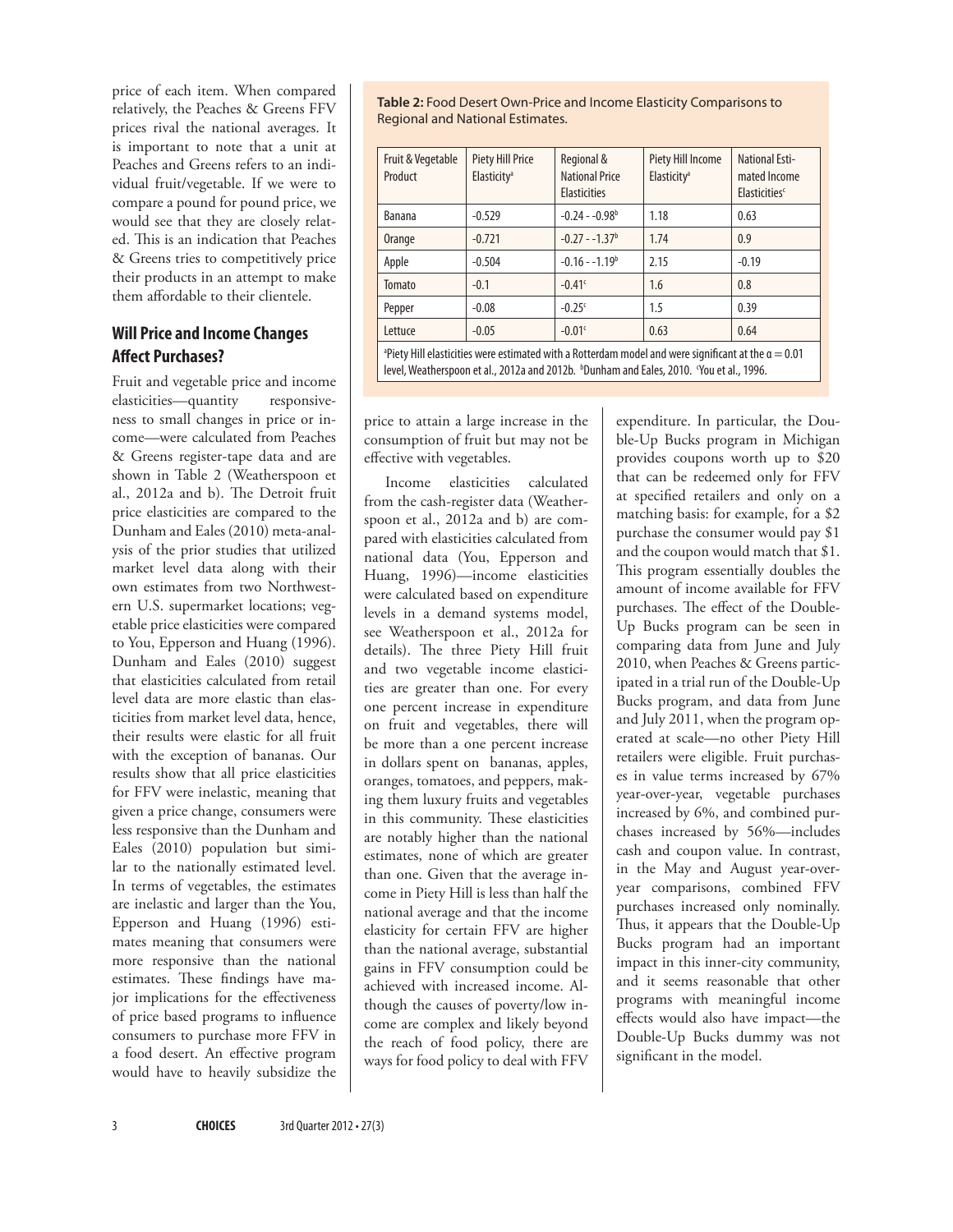price of each item. When compared relatively, the Peaches & Greens FFV prices rival the national averages. It is important to note that a unit at Peaches and Greens refers to an individual fruit/vegetable. If we were to compare a pound for pound price, we would see that they are closely related. This is an indication that Peaches & Greens tries to competitively price their products in an attempt to make them affordable to their clientele.

#### **Will Price and Income Changes Affect Purchases?**

Fruit and vegetable price and income elasticities—quantity responsiveness to small changes in price or income—were calculated from Peaches & Greens register-tape data and are shown in Table 2 (Weatherspoon et al., 2012a and b). The Detroit fruit price elasticities are compared to the Dunham and Eales (2010) meta-analysis of the prior studies that utilized market level data along with their own estimates from two Northwestern U.S. supermarket locations; vegetable price elasticities were compared to You, Epperson and Huang (1996). Dunham and Eales (2010) suggest that elasticities calculated from retail level data are more elastic than elasticities from market level data, hence, their results were elastic for all fruit with the exception of bananas. Our results show that all price elasticities for FFV were inelastic, meaning that given a price change, consumers were less responsive than the Dunham and Eales (2010) population but similar to the nationally estimated level. In terms of vegetables, the estimates are inelastic and larger than the You, Epperson and Huang (1996) estimates meaning that consumers were more responsive than the national estimates. These findings have major implications for the effectiveness of price based programs to influence consumers to purchase more FFV in a food desert. An effective program would have to heavily subsidize the

**Table 2:** Food Desert Own-Price and Income Elasticity Comparisons to Regional and National Estimates.

| Fruit & Vegetable<br>Product                                                                                                                                                                                  | <b>Piety Hill Price</b><br>Elasticity <sup>a</sup> | Regional &<br><b>National Price</b><br><b>Elasticities</b> | Piety Hill Income<br>Elasticity <sup>a</sup> | <b>National Esti-</b><br>mated Income<br>Elasticities <sup>c</sup> |  |  |  |  |
|---------------------------------------------------------------------------------------------------------------------------------------------------------------------------------------------------------------|----------------------------------------------------|------------------------------------------------------------|----------------------------------------------|--------------------------------------------------------------------|--|--|--|--|
| <b>Banana</b>                                                                                                                                                                                                 | $-0.529$                                           | $-0.24 - 0.98b$                                            | 1.18                                         | 0.63                                                               |  |  |  |  |
| Orange                                                                                                                                                                                                        | $-0.721$                                           | $-0.27 - -1.37b$                                           | 1.74                                         | 0.9                                                                |  |  |  |  |
| Apple                                                                                                                                                                                                         | $-0.504$                                           | $-0.16 - -1.19b$                                           | 2.15                                         | $-0.19$                                                            |  |  |  |  |
| Tomato                                                                                                                                                                                                        | $-0.1$                                             | $-0.41$ <sup>c</sup>                                       | 1.6                                          | 0.8                                                                |  |  |  |  |
| Pepper                                                                                                                                                                                                        | $-0.08$                                            | $-0.25c$                                                   | 1.5                                          | 0.39                                                               |  |  |  |  |
| Lettuce                                                                                                                                                                                                       | $-0.05$                                            | $-0.01c$                                                   | 0.63                                         | 0.64                                                               |  |  |  |  |
| <sup>a</sup> Piety Hill elasticities were estimated with a Rotterdam model and were significant at the $a = 0.01$<br>level, Weatherspoon et al., 2012a and 2012b. bDunham and Eales, 2010. 'You et al., 1996. |                                                    |                                                            |                                              |                                                                    |  |  |  |  |

price to attain a large increase in the consumption of fruit but may not be effective with vegetables.

Income elasticities calculated from the cash-register data (Weatherspoon et al., 2012a and b) are compared with elasticities calculated from national data (You, Epperson and Huang, 1996)—income elasticities were calculated based on expenditure levels in a demand systems model, see Weatherspoon et al., 2012a for details). The three Piety Hill fruit and two vegetable income elasticities are greater than one. For every one percent increase in expenditure on fruit and vegetables, there will be more than a one percent increase in dollars spent on bananas, apples, oranges, tomatoes, and peppers, making them luxury fruits and vegetables in this community. These elasticities are notably higher than the national estimates, none of which are greater than one. Given that the average income in Piety Hill is less than half the national average and that the income elasticity for certain FFV are higher than the national average, substantial gains in FFV consumption could be achieved with increased income. Although the causes of poverty/low income are complex and likely beyond the reach of food policy, there are ways for food policy to deal with FFV

expenditure. In particular, the Double-Up Bucks program in Michigan provides coupons worth up to \$20 that can be redeemed only for FFV at specified retailers and only on a matching basis: for example, for a \$2 purchase the consumer would pay \$1 and the coupon would match that \$1. This program essentially doubles the amount of income available for FFV purchases. The effect of the Double-Up Bucks program can be seen in comparing data from June and July 2010, when Peaches & Greens participated in a trial run of the Double-Up Bucks program, and data from June and July 2011, when the program operated at scale—no other Piety Hill retailers were eligible. Fruit purchases in value terms increased by 67% year-over-year, vegetable purchases increased by 6%, and combined purchases increased by 56%—includes cash and coupon value. In contrast, in the May and August year-overyear comparisons, combined FFV purchases increased only nominally. Thus, it appears that the Double-Up Bucks program had an important impact in this inner-city community, and it seems reasonable that other programs with meaningful income effects would also have impact—the Double-Up Bucks dummy was not significant in the model.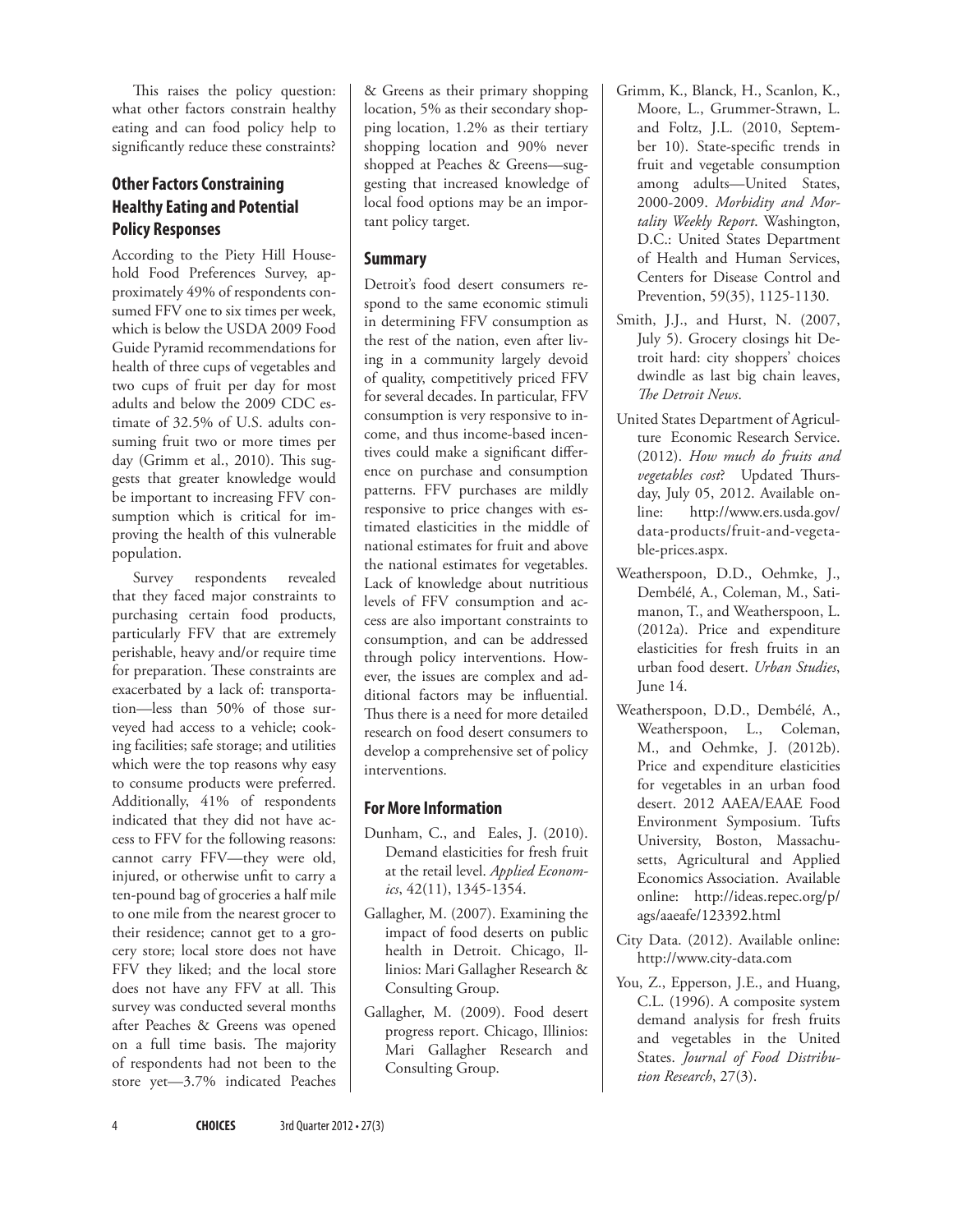This raises the policy question: what other factors constrain healthy eating and can food policy help to significantly reduce these constraints?

## **Other Factors Constraining Healthy Eating and Potential Policy Responses**

According to the Piety Hill Household Food Preferences Survey, approximately 49% of respondents consumed FFV one to six times per week, which is below the USDA 2009 Food Guide Pyramid recommendations for health of three cups of vegetables and two cups of fruit per day for most adults and below the 2009 CDC estimate of 32.5% of U.S. adults consuming fruit two or more times per day (Grimm et al., 2010). This suggests that greater knowledge would be important to increasing FFV consumption which is critical for improving the health of this vulnerable population.

Survey respondents revealed that they faced major constraints to purchasing certain food products, particularly FFV that are extremely perishable, heavy and/or require time for preparation. These constraints are exacerbated by a lack of: transportation—less than 50% of those surveyed had access to a vehicle; cooking facilities; safe storage; and utilities which were the top reasons why easy to consume products were preferred. Additionally, 41% of respondents indicated that they did not have access to FFV for the following reasons: cannot carry FFV—they were old, injured, or otherwise unfit to carry a ten-pound bag of groceries a half mile to one mile from the nearest grocer to their residence; cannot get to a grocery store; local store does not have FFV they liked; and the local store does not have any FFV at all. This survey was conducted several months after Peaches & Greens was opened on a full time basis. The majority of respondents had not been to the store yet—3.7% indicated Peaches & Greens as their primary shopping location, 5% as their secondary shopping location, 1.2% as their tertiary shopping location and 90% never shopped at Peaches & Greens—suggesting that increased knowledge of local food options may be an important policy target.

#### **Summary**

Detroit's food desert consumers respond to the same economic stimuli in determining FFV consumption as the rest of the nation, even after living in a community largely devoid of quality, competitively priced FFV for several decades. In particular, FFV consumption is very responsive to income, and thus income-based incentives could make a significant difference on purchase and consumption patterns. FFV purchases are mildly responsive to price changes with estimated elasticities in the middle of national estimates for fruit and above the national estimates for vegetables. Lack of knowledge about nutritious levels of FFV consumption and access are also important constraints to consumption, and can be addressed through policy interventions. However, the issues are complex and additional factors may be influential. Thus there is a need for more detailed research on food desert consumers to develop a comprehensive set of policy interventions.

## **For More Information**

- Dunham, C., and Eales, J. (2010). Demand elasticities for fresh fruit at the retail level. *Applied Economics*, 42(11), 1345-1354.
- Gallagher, M. (2007). Examining the impact of food deserts on public health in Detroit. Chicago, Illinios: Mari Gallagher Research & Consulting Group.
- Gallagher, M. (2009). Food desert progress report. Chicago, Illinios: Mari Gallagher Research and Consulting Group.
- Grimm, K., Blanck, H., Scanlon, K., Moore, L., Grummer-Strawn, L. and Foltz, J.L. (2010, September 10). State-specific trends in fruit and vegetable consumption among adults—United States, 2000-2009. *Morbidity and Mortality Weekly Report*. Washington, D.C.: United States Department of Health and Human Services, Centers for Disease Control and Prevention, 59(35), 1125-1130.
- Smith, J.J., and Hurst, N. (2007, July 5). Grocery closings hit Detroit hard: city shoppers' choices dwindle as last big chain leaves, *The Detroit News*.
- United States Department of Agriculture Economic Research Service. (2012). *How much do fruits and vegetables cost*? Updated Thursday, July 05, 2012. Available online: [http://www.ers.usda.gov/](http://www.ers.usda.gov/data-products/fruit-and-vegetable-prices.aspx) [data-products/fruit-and-vegeta](http://www.ers.usda.gov/data-products/fruit-and-vegetable-prices.aspx)[ble-prices.aspx](http://www.ers.usda.gov/data-products/fruit-and-vegetable-prices.aspx).
- Weatherspoon, D.D., Oehmke, J., Dembélé, A., Coleman, M., Satimanon, T., and Weatherspoon, L. (2012a). Price and expenditure elasticities for fresh fruits in an urban food desert. *Urban Studies*, June 14.
- Weatherspoon, D.D., Dembélé, A., Weatherspoon, L., Coleman, M., and Oehmke, J. (2012b). Price and expenditure elasticities for vegetables in an urban food desert. 2012 AAEA/EAAE Food Environment Symposium. Tufts University, Boston, Massachusetts, Agricultural and Applied Economics Association. Available online: [http://ideas.repec.org/p/](http://ideas.repec.org/p/ags/aaeafe/123392.html) [ags/aaeafe/123392.html](http://ideas.repec.org/p/ags/aaeafe/123392.html)
- City Data. (2012). Available online: http://www.city-data.com
- You, Z., Epperson, J.E., and Huang, C.L. (1996). A composite system demand analysis for fresh fruits and vegetables in the United States. *Journal of Food Distribution Research*, 27(3).